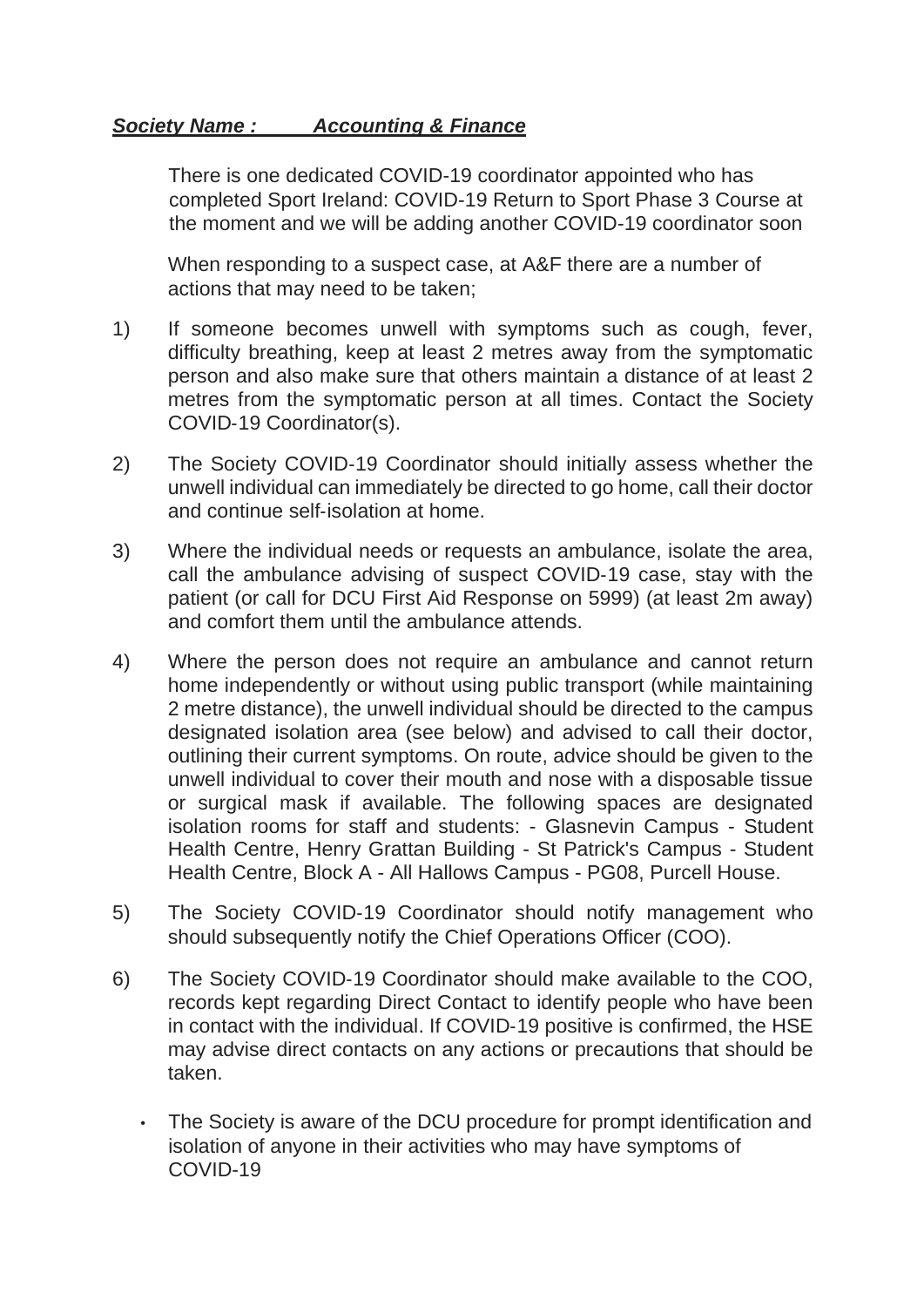## *Society Name : Accounting & Finance*

There is one dedicated COVID-19 coordinator appointed who has completed Sport Ireland: COVID-19 Return to Sport Phase 3 Course at the moment and we will be adding another COVID-19 coordinator soon

When responding to a suspect case, at A&F there are a number of actions that may need to be taken;

- 1) If someone becomes unwell with symptoms such as cough, fever, difficulty breathing, keep at least 2 metres away from the symptomatic person and also make sure that others maintain a distance of at least 2 metres from the symptomatic person at all times. Contact the Society COVID-19 Coordinator(s).
- 2) The Society COVID-19 Coordinator should initially assess whether the unwell individual can immediately be directed to go home, call their doctor and continue self-isolation at home.
- 3) Where the individual needs or requests an ambulance, isolate the area, call the ambulance advising of suspect COVID-19 case, stay with the patient (or call for DCU First Aid Response on 5999) (at least 2m away) and comfort them until the ambulance attends.
- 4) Where the person does not require an ambulance and cannot return home independently or without using public transport (while maintaining 2 metre distance), the unwell individual should be directed to the campus designated isolation area (see below) and advised to call their doctor, outlining their current symptoms. On route, advice should be given to the unwell individual to cover their mouth and nose with a disposable tissue or surgical mask if available. The following spaces are designated isolation rooms for staff and students: - Glasnevin Campus - Student Health Centre, Henry Grattan Building - St Patrick's Campus - Student Health Centre, Block A - All Hallows Campus - PG08, Purcell House.
- 5) The Society COVID-19 Coordinator should notify management who should subsequently notify the Chief Operations Officer (COO).
- 6) The Society COVID-19 Coordinator should make available to the COO, records kept regarding Direct Contact to identify people who have been in contact with the individual. If COVID-19 positive is confirmed, the HSE may advise direct contacts on any actions or precautions that should be taken.
	- The Society is aware of the DCU procedure for prompt identification and isolation of anyone in their activities who may have symptoms of COVID-19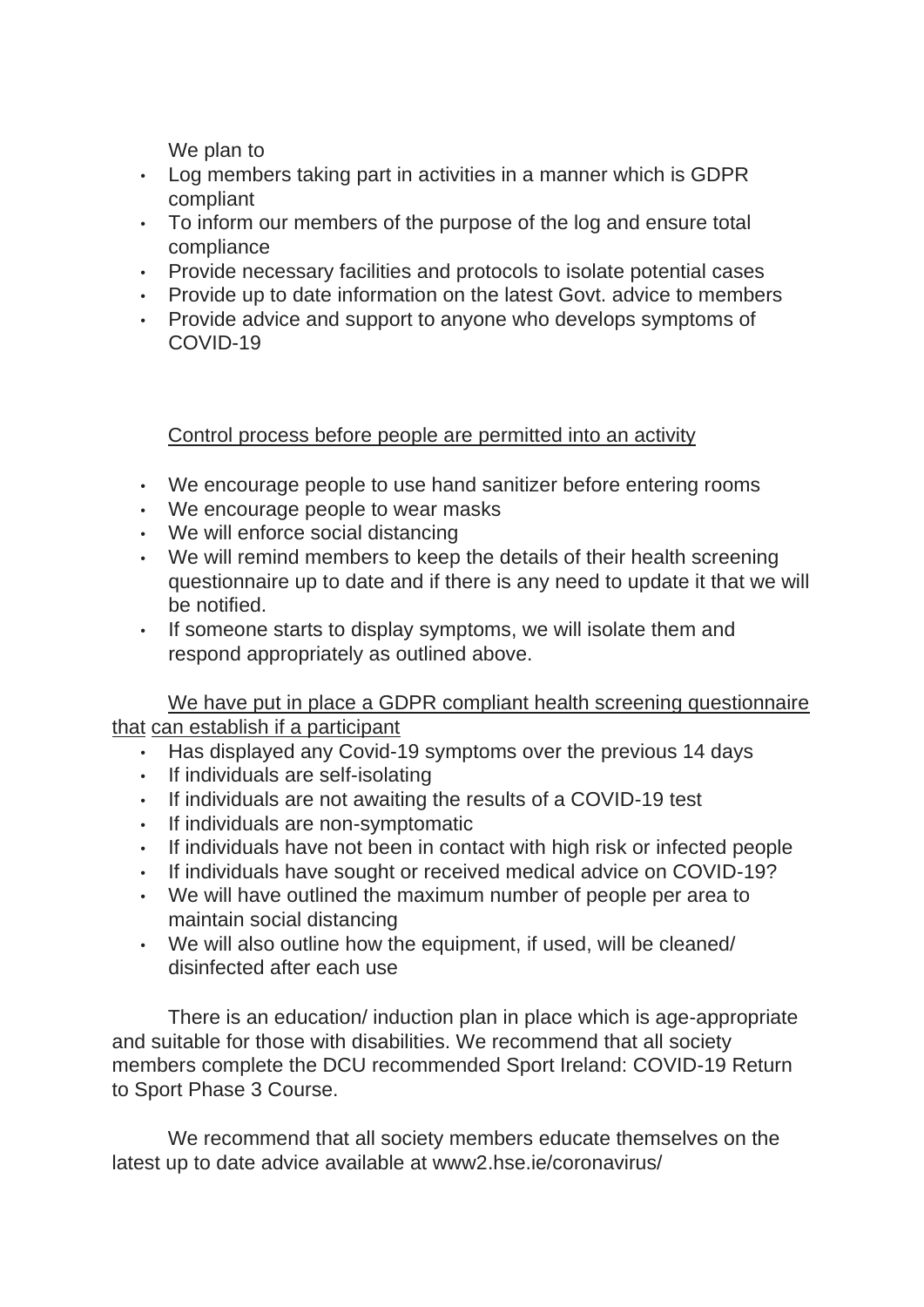We plan to

- Log members taking part in activities in a manner which is GDPR compliant
- To inform our members of the purpose of the log and ensure total compliance
- Provide necessary facilities and protocols to isolate potential cases
- Provide up to date information on the latest Govt. advice to members
- Provide advice and support to anyone who develops symptoms of COVID-19

Control process before people are permitted into an activity

- We encourage people to use hand sanitizer before entering rooms
- We encourage people to wear masks
- We will enforce social distancing
- We will remind members to keep the details of their health screening questionnaire up to date and if there is any need to update it that we will be notified.
- If someone starts to display symptoms, we will isolate them and respond appropriately as outlined above.

We have put in place a GDPR compliant health screening questionnaire that can establish if a participant

- Has displayed any Covid-19 symptoms over the previous 14 days
- If individuals are self-isolating
- If individuals are not awaiting the results of a COVID-19 test
- If individuals are non-symptomatic
- If individuals have not been in contact with high risk or infected people
- If individuals have sought or received medical advice on COVID-19?
- We will have outlined the maximum number of people per area to maintain social distancing
- We will also outline how the equipment, if used, will be cleaned/ disinfected after each use

There is an education/ induction plan in place which is age-appropriate and suitable for those with disabilities. We recommend that all society members complete the DCU recommended Sport Ireland: COVID-19 Return to Sport Phase 3 Course.

We recommend that all society members educate themselves on the latest up to date advice available at www2.hse.ie/coronavirus/